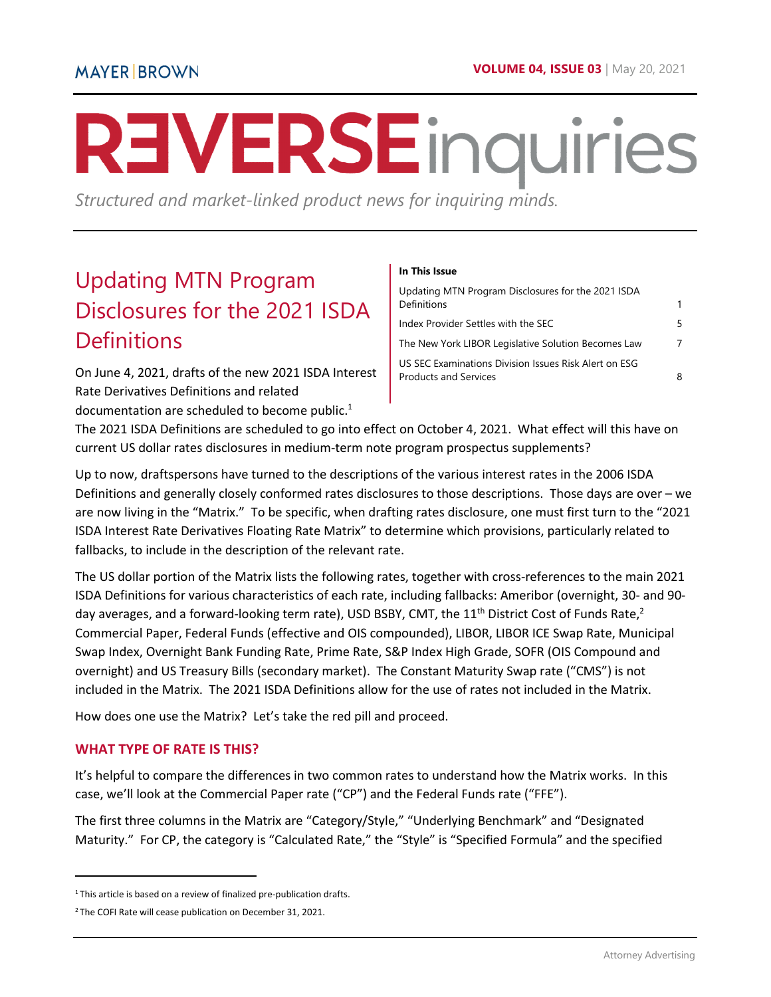# **REVERSE** inquiries

*Structured and market-linked product news for inquiring minds.* 

# <span id="page-0-0"></span>Updating MTN Program Disclosures for the 2021 ISDA **Definitions**

On June 4, 2021, drafts of the new 2021 ISDA Interest Rate Derivatives Definitions and related

documentation are scheduled to become public. $1$ 

#### **In This Issue**

| Updating MTN Program Disclosures for the 2021 ISDA<br>Definitions                     |    |
|---------------------------------------------------------------------------------------|----|
| Index Provider Settles with the SEC                                                   | 5. |
| The New York LIBOR Legislative Solution Becomes Law                                   | 7  |
| US SEC Examinations Division Issues Risk Alert on ESG<br><b>Products and Services</b> | 8  |

The 2021 ISDA Definitions are scheduled to go into effect on October 4, 2021. What effect will this have on current US dollar rates disclosures in medium-term note program prospectus supplements?

Up to now, draftspersons have turned to the descriptions of the various interest rates in the 2006 ISDA Definitions and generally closely conformed rates disclosures to those descriptions. Those days are over – we are now living in the "Matrix." To be specific, when drafting rates disclosure, one must first turn to the "2021 ISDA Interest Rate Derivatives Floating Rate Matrix" to determine which provisions, particularly related to fallbacks, to include in the description of the relevant rate.

The US dollar portion of the Matrix lists the following rates, together with cross-references to the main 2021 ISDA Definitions for various characteristics of each rate, including fallbacks: Ameribor (overnight, 30- and 90 day averages, and a forward-looking term rate), USD BSBY, CMT, the 11<sup>th</sup> District Cost of Funds Rate,<sup>2</sup> Commercial Paper, Federal Funds (effective and OIS compounded), LIBOR, LIBOR ICE Swap Rate, Municipal Swap Index, Overnight Bank Funding Rate, Prime Rate, S&P Index High Grade, SOFR (OIS Compound and overnight) and US Treasury Bills (secondary market). The Constant Maturity Swap rate ("CMS") is not included in the Matrix. The 2021 ISDA Definitions allow for the use of rates not included in the Matrix.

How does one use the Matrix? Let's take the red pill and proceed.

#### **WHAT TYPE OF RATE IS THIS?**

l

It's helpful to compare the differences in two common rates to understand how the Matrix works. In this case, we'll look at the Commercial Paper rate ("CP") and the Federal Funds rate ("FFE").

The first three columns in the Matrix are "Category/Style," "Underlying Benchmark" and "Designated Maturity." For CP, the category is "Calculated Rate," the "Style" is "Specified Formula" and the specified

<sup>&</sup>lt;sup>1</sup>This article is based on a review of finalized pre-publication drafts.

<sup>&</sup>lt;sup>2</sup>The COFI Rate will cease publication on December 31, 2021.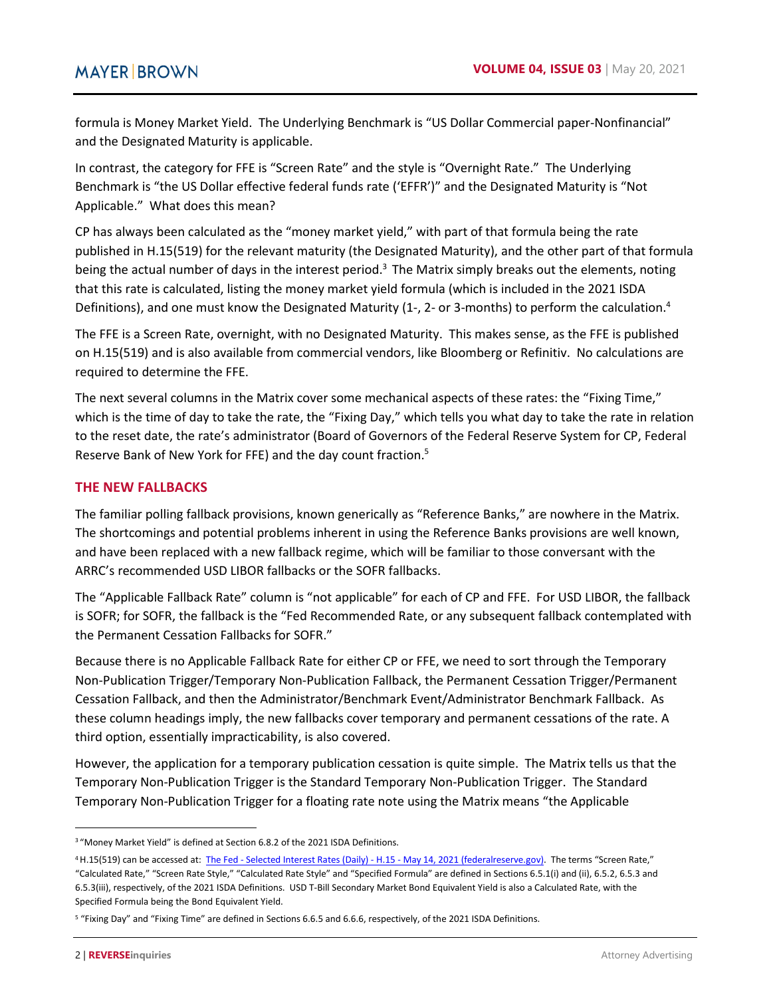formula is Money Market Yield. The Underlying Benchmark is "US Dollar Commercial paper-Nonfinancial" and the Designated Maturity is applicable.

In contrast, the category for FFE is "Screen Rate" and the style is "Overnight Rate." The Underlying Benchmark is "the US Dollar effective federal funds rate ('EFFR')" and the Designated Maturity is "Not Applicable." What does this mean?

CP has always been calculated as the "money market yield," with part of that formula being the rate published in H.15(519) for the relevant maturity (the Designated Maturity), and the other part of that formula being the actual number of days in the interest period.<sup>3</sup> The Matrix simply breaks out the elements, noting that this rate is calculated, listing the money market yield formula (which is included in the 2021 ISDA Definitions), and one must know the Designated Maturity (1-, 2- or 3-months) to perform the calculation.<sup>4</sup>

The FFE is a Screen Rate, overnight, with no Designated Maturity. This makes sense, as the FFE is published on H.15(519) and is also available from commercial vendors, like Bloomberg or Refinitiv. No calculations are required to determine the FFE.

The next several columns in the Matrix cover some mechanical aspects of these rates: the "Fixing Time," which is the time of day to take the rate, the "Fixing Day," which tells you what day to take the rate in relation to the reset date, the rate's administrator (Board of Governors of the Federal Reserve System for CP, Federal Reserve Bank of New York for FFE) and the day count fraction.<sup>5</sup>

#### **THE NEW FALLBACKS**

The familiar polling fallback provisions, known generically as "Reference Banks," are nowhere in the Matrix. The shortcomings and potential problems inherent in using the Reference Banks provisions are well known, and have been replaced with a new fallback regime, which will be familiar to those conversant with the ARRC's recommended USD LIBOR fallbacks or the SOFR fallbacks.

The "Applicable Fallback Rate" column is "not applicable" for each of CP and FFE. For USD LIBOR, the fallback is SOFR; for SOFR, the fallback is the "Fed Recommended Rate, or any subsequent fallback contemplated with the Permanent Cessation Fallbacks for SOFR."

Because there is no Applicable Fallback Rate for either CP or FFE, we need to sort through the Temporary Non-Publication Trigger/Temporary Non-Publication Fallback, the Permanent Cessation Trigger/Permanent Cessation Fallback, and then the Administrator/Benchmark Event/Administrator Benchmark Fallback. As these column headings imply, the new fallbacks cover temporary and permanent cessations of the rate. A third option, essentially impracticability, is also covered.

However, the application for a temporary publication cessation is quite simple. The Matrix tells us that the Temporary Non-Publication Trigger is the Standard Temporary Non-Publication Trigger. The Standard Temporary Non-Publication Trigger for a floating rate note using the Matrix means "the Applicable

<sup>3</sup>"Money Market Yield" is defined at Section 6.8.2 of the 2021 ISDA Definitions.

<sup>&</sup>lt;sup>4</sup>H.15(519) can be accessed at: [The Fed - Selected Interest Rates \(Daily\) - H.15 - May 14, 2021 \(federalreserve.gov\).](https://www.federalreserve.gov/releases/h15/) The terms "Screen Rate,"

<sup>&</sup>quot;Calculated Rate," "Screen Rate Style," "Calculated Rate Style" and "Specified Formula" are defined in Sections 6.5.1(i) and (ii), 6.5.2, 6.5.3 and 6.5.3(iii), respectively, of the 2021 ISDA Definitions. USD T-Bill Secondary Market Bond Equivalent Yield is also a Calculated Rate, with the Specified Formula being the Bond Equivalent Yield.

<sup>&</sup>lt;sup>5</sup> "Fixing Day" and "Fixing Time" are defined in Sections 6.6.5 and 6.6.6, respectively, of the 2021 ISDA Definitions.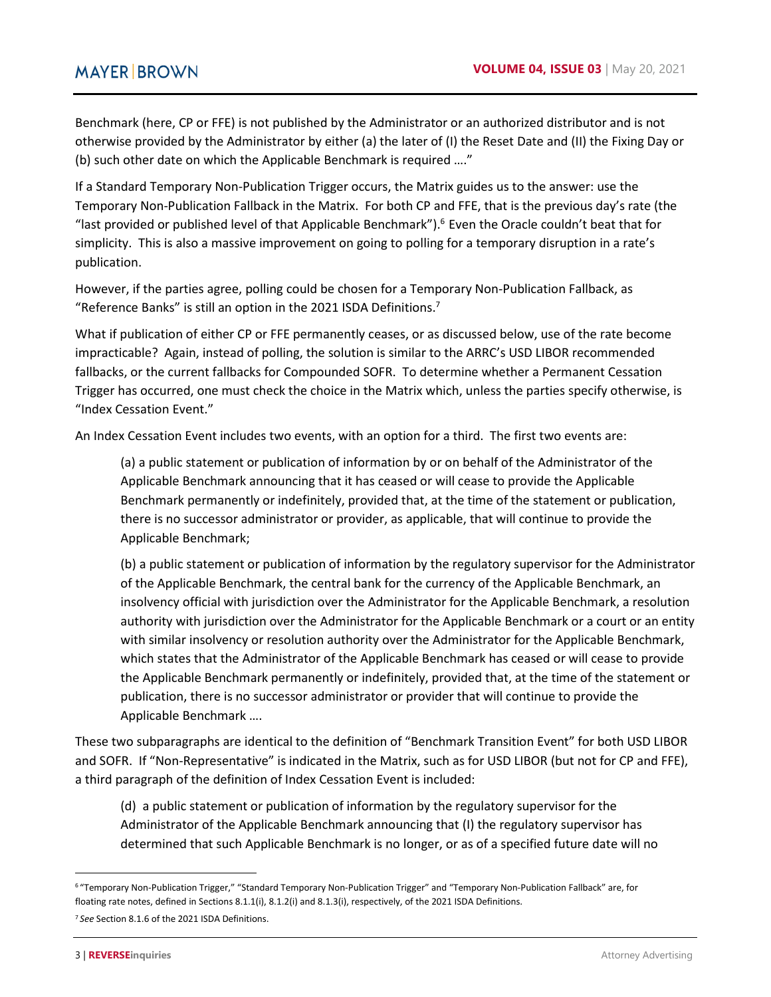Benchmark (here, CP or FFE) is not published by the Administrator or an authorized distributor and is not otherwise provided by the Administrator by either (a) the later of (I) the Reset Date and (II) the Fixing Day or (b) such other date on which the Applicable Benchmark is required …."

If a Standard Temporary Non-Publication Trigger occurs, the Matrix guides us to the answer: use the Temporary Non-Publication Fallback in the Matrix. For both CP and FFE, that is the previous day's rate (the "last provided or published level of that Applicable Benchmark"). $6$  Even the Oracle couldn't beat that for simplicity. This is also a massive improvement on going to polling for a temporary disruption in a rate's publication.

However, if the parties agree, polling could be chosen for a Temporary Non-Publication Fallback, as "Reference Banks" is still an option in the 2021 ISDA Definitions. $<sup>7</sup>$ </sup>

What if publication of either CP or FFE permanently ceases, or as discussed below, use of the rate become impracticable? Again, instead of polling, the solution is similar to the ARRC's USD LIBOR recommended fallbacks, or the current fallbacks for Compounded SOFR. To determine whether a Permanent Cessation Trigger has occurred, one must check the choice in the Matrix which, unless the parties specify otherwise, is "Index Cessation Event."

An Index Cessation Event includes two events, with an option for a third. The first two events are:

(a) a public statement or publication of information by or on behalf of the Administrator of the Applicable Benchmark announcing that it has ceased or will cease to provide the Applicable Benchmark permanently or indefinitely, provided that, at the time of the statement or publication, there is no successor administrator or provider, as applicable, that will continue to provide the Applicable Benchmark;

(b) a public statement or publication of information by the regulatory supervisor for the Administrator of the Applicable Benchmark, the central bank for the currency of the Applicable Benchmark, an insolvency official with jurisdiction over the Administrator for the Applicable Benchmark, a resolution authority with jurisdiction over the Administrator for the Applicable Benchmark or a court or an entity with similar insolvency or resolution authority over the Administrator for the Applicable Benchmark, which states that the Administrator of the Applicable Benchmark has ceased or will cease to provide the Applicable Benchmark permanently or indefinitely, provided that, at the time of the statement or publication, there is no successor administrator or provider that will continue to provide the Applicable Benchmark ….

These two subparagraphs are identical to the definition of "Benchmark Transition Event" for both USD LIBOR and SOFR. If "Non-Representative" is indicated in the Matrix, such as for USD LIBOR (but not for CP and FFE), a third paragraph of the definition of Index Cessation Event is included:

(d) a public statement or publication of information by the regulatory supervisor for the Administrator of the Applicable Benchmark announcing that (I) the regulatory supervisor has determined that such Applicable Benchmark is no longer, or as of a specified future date will no

<sup>6</sup>"Temporary Non-Publication Trigger," "Standard Temporary Non-Publication Trigger" and "Temporary Non-Publication Fallback" are, for floating rate notes, defined in Sections 8.1.1(i), 8.1.2(i) and 8.1.3(i), respectively, of the 2021 ISDA Definitions.

<sup>7</sup> *See* Section 8.1.6 of the 2021 ISDA Definitions.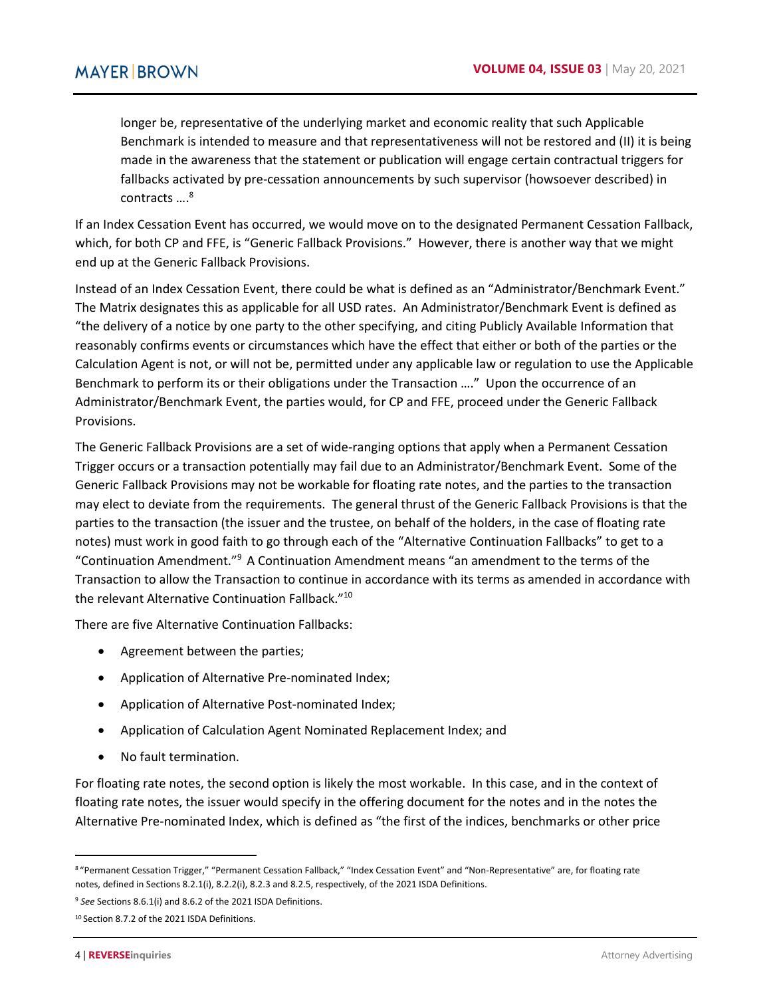longer be, representative of the underlying market and economic reality that such Applicable Benchmark is intended to measure and that representativeness will not be restored and (II) it is being made in the awareness that the statement or publication will engage certain contractual triggers for fallbacks activated by pre-cessation announcements by such supervisor (howsoever described) in contracts ....<sup>8</sup>

If an Index Cessation Event has occurred, we would move on to the designated Permanent Cessation Fallback, which, for both CP and FFE, is "Generic Fallback Provisions." However, there is another way that we might end up at the Generic Fallback Provisions.

Instead of an Index Cessation Event, there could be what is defined as an "Administrator/Benchmark Event." The Matrix designates this as applicable for all USD rates. An Administrator/Benchmark Event is defined as "the delivery of a notice by one party to the other specifying, and citing Publicly Available Information that reasonably confirms events or circumstances which have the effect that either or both of the parties or the Calculation Agent is not, or will not be, permitted under any applicable law or regulation to use the Applicable Benchmark to perform its or their obligations under the Transaction …." Upon the occurrence of an Administrator/Benchmark Event, the parties would, for CP and FFE, proceed under the Generic Fallback Provisions.

The Generic Fallback Provisions are a set of wide-ranging options that apply when a Permanent Cessation Trigger occurs or a transaction potentially may fail due to an Administrator/Benchmark Event. Some of the Generic Fallback Provisions may not be workable for floating rate notes, and the parties to the transaction may elect to deviate from the requirements. The general thrust of the Generic Fallback Provisions is that the parties to the transaction (the issuer and the trustee, on behalf of the holders, in the case of floating rate notes) must work in good faith to go through each of the "Alternative Continuation Fallbacks" to get to a "Continuation Amendment."<sup>9</sup> A Continuation Amendment means "an amendment to the terms of the Transaction to allow the Transaction to continue in accordance with its terms as amended in accordance with the relevant Alternative Continuation Fallback."<sup>10</sup>

There are five Alternative Continuation Fallbacks:

- Agreement between the parties;
- Application of Alternative Pre-nominated Index;
- Application of Alternative Post-nominated Index;
- Application of Calculation Agent Nominated Replacement Index; and
- No fault termination.

For floating rate notes, the second option is likely the most workable. In this case, and in the context of floating rate notes, the issuer would specify in the offering document for the notes and in the notes the Alternative Pre-nominated Index, which is defined as "the first of the indices, benchmarks or other price

 $\overline{a}$ 

<sup>8&</sup>quot;Permanent Cessation Trigger," "Permanent Cessation Fallback," "Index Cessation Event" and "Non-Representative" are, for floating rate notes, defined in Sections 8.2.1(i), 8.2.2(i), 8.2.3 and 8.2.5, respectively, of the 2021 ISDA Definitions.

<sup>9</sup> *See* Sections 8.6.1(i) and 8.6.2 of the 2021 ISDA Definitions.

<sup>10</sup> Section 8.7.2 of the 2021 ISDA Definitions.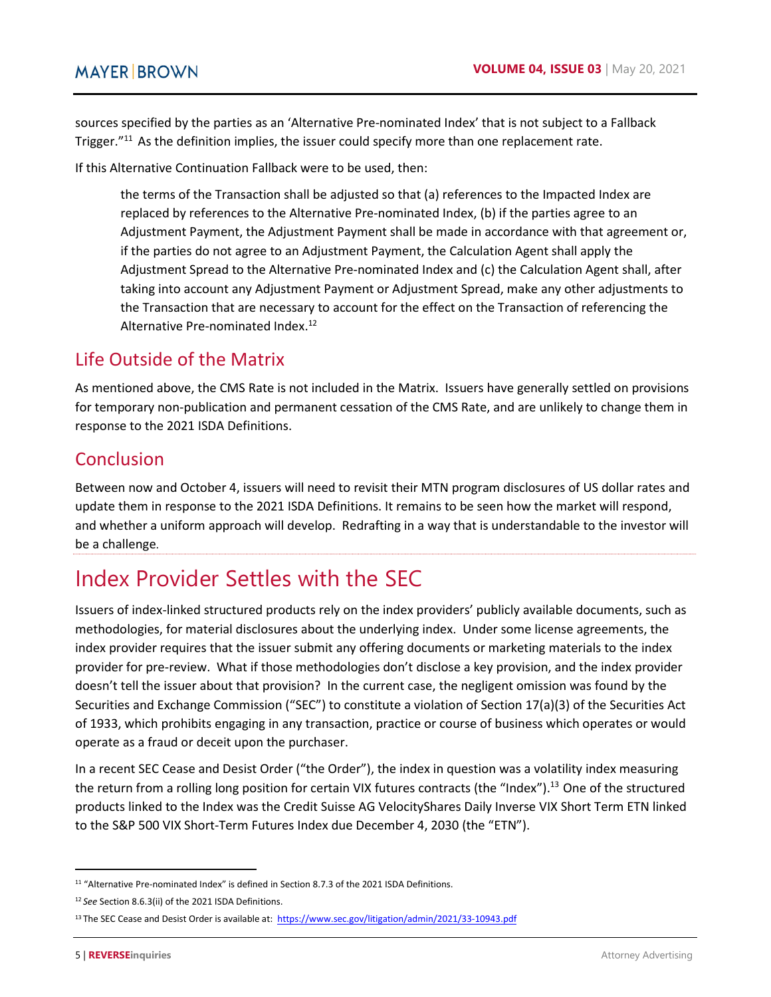sources specified by the parties as an 'Alternative Pre-nominated Index' that is not subject to a Fallback Trigger."<sup>11</sup> As the definition implies, the issuer could specify more than one replacement rate.

If this Alternative Continuation Fallback were to be used, then:

the terms of the Transaction shall be adjusted so that (a) references to the Impacted Index are replaced by references to the Alternative Pre-nominated Index, (b) if the parties agree to an Adjustment Payment, the Adjustment Payment shall be made in accordance with that agreement or, if the parties do not agree to an Adjustment Payment, the Calculation Agent shall apply the Adjustment Spread to the Alternative Pre-nominated Index and (c) the Calculation Agent shall, after taking into account any Adjustment Payment or Adjustment Spread, make any other adjustments to the Transaction that are necessary to account for the effect on the Transaction of referencing the Alternative Pre-nominated Index.<sup>12</sup>

### Life Outside of the Matrix

As mentioned above, the CMS Rate is not included in the Matrix. Issuers have generally settled on provisions for temporary non-publication and permanent cessation of the CMS Rate, and are unlikely to change them in response to the 2021 ISDA Definitions.

## Conclusion

Between now and October 4, issuers will need to revisit their MTN program disclosures of US dollar rates and update them in response to the 2021 ISDA Definitions. It remains to be seen how the market will respond, and whether a uniform approach will develop. Redrafting in a way that is understandable to the investor will be a challenge.

## <span id="page-4-0"></span>Index Provider Settles with the SEC

Issuers of index-linked structured products rely on the index providers' publicly available documents, such as methodologies, for material disclosures about the underlying index. Under some license agreements, the index provider requires that the issuer submit any offering documents or marketing materials to the index provider for pre-review. What if those methodologies don't disclose a key provision, and the index provider doesn't tell the issuer about that provision? In the current case, the negligent omission was found by the Securities and Exchange Commission ("SEC") to constitute a violation of Section 17(a)(3) of the Securities Act of 1933, which prohibits engaging in any transaction, practice or course of business which operates or would operate as a fraud or deceit upon the purchaser.

In a recent SEC Cease and Desist Order ("the Order"), the index in question was a volatility index measuring the return from a rolling long position for certain VIX futures contracts (the "Index").<sup>13</sup> One of the structured products linked to the Index was the Credit Suisse AG VelocityShares Daily Inverse VIX Short Term ETN linked to the S&P 500 VIX Short-Term Futures Index due December 4, 2030 (the "ETN").

<sup>&</sup>lt;sup>11</sup> "Alternative Pre-nominated Index" is defined in Section 8.7.3 of the 2021 ISDA Definitions.

<sup>12</sup>*See* Section 8.6.3(ii) of the 2021 ISDA Definitions.

<sup>13</sup> The SEC Cease and Desist Order is available at: https://www.sec.gov/litigation/admin/2021/33-10943.pdf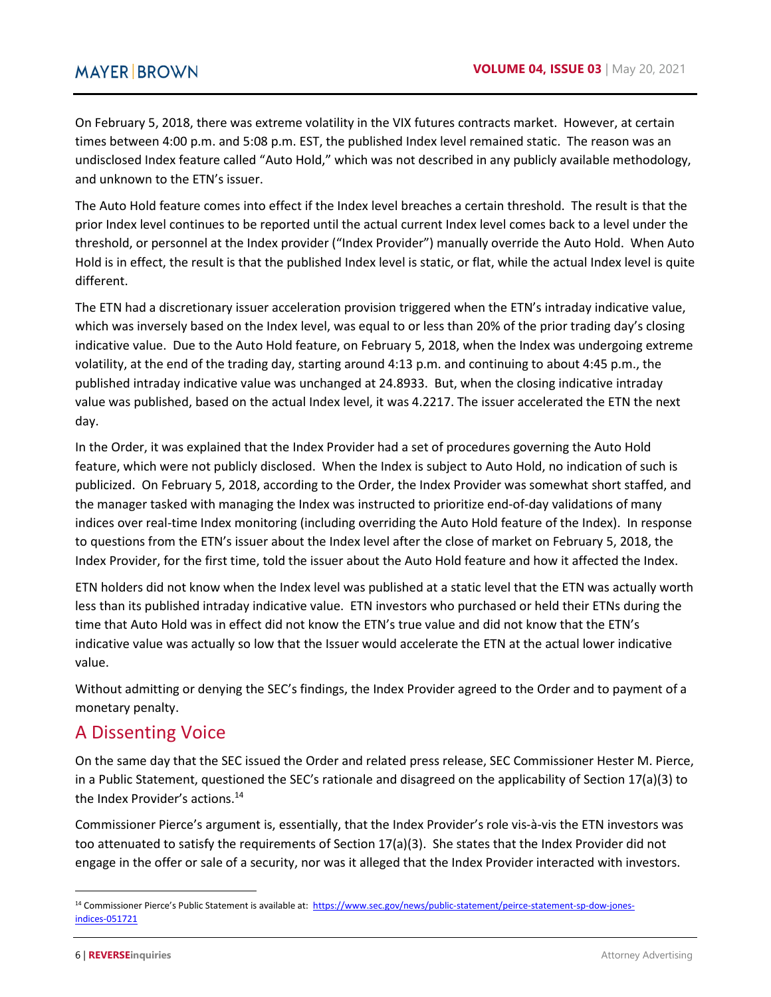On February 5, 2018, there was extreme volatility in the VIX futures contracts market. However, at certain times between 4:00 p.m. and 5:08 p.m. EST, the published Index level remained static. The reason was an undisclosed Index feature called "Auto Hold," which was not described in any publicly available methodology, and unknown to the ETN's issuer.

The Auto Hold feature comes into effect if the Index level breaches a certain threshold. The result is that the prior Index level continues to be reported until the actual current Index level comes back to a level under the threshold, or personnel at the Index provider ("Index Provider") manually override the Auto Hold. When Auto Hold is in effect, the result is that the published Index level is static, or flat, while the actual Index level is quite different.

The ETN had a discretionary issuer acceleration provision triggered when the ETN's intraday indicative value, which was inversely based on the Index level, was equal to or less than 20% of the prior trading day's closing indicative value. Due to the Auto Hold feature, on February 5, 2018, when the Index was undergoing extreme volatility, at the end of the trading day, starting around 4:13 p.m. and continuing to about 4:45 p.m., the published intraday indicative value was unchanged at 24.8933. But, when the closing indicative intraday value was published, based on the actual Index level, it was 4.2217. The issuer accelerated the ETN the next day.

In the Order, it was explained that the Index Provider had a set of procedures governing the Auto Hold feature, which were not publicly disclosed. When the Index is subject to Auto Hold, no indication of such is publicized. On February 5, 2018, according to the Order, the Index Provider was somewhat short staffed, and the manager tasked with managing the Index was instructed to prioritize end-of-day validations of many indices over real-time Index monitoring (including overriding the Auto Hold feature of the Index). In response to questions from the ETN's issuer about the Index level after the close of market on February 5, 2018, the Index Provider, for the first time, told the issuer about the Auto Hold feature and how it affected the Index.

ETN holders did not know when the Index level was published at a static level that the ETN was actually worth less than its published intraday indicative value. ETN investors who purchased or held their ETNs during the time that Auto Hold was in effect did not know the ETN's true value and did not know that the ETN's indicative value was actually so low that the Issuer would accelerate the ETN at the actual lower indicative value.

Without admitting or denying the SEC's findings, the Index Provider agreed to the Order and to payment of a monetary penalty.

## A Dissenting Voice

On the same day that the SEC issued the Order and related press release, SEC Commissioner Hester M. Pierce, in a Public Statement, questioned the SEC's rationale and disagreed on the applicability of Section 17(a)(3) to the Index Provider's actions.<sup>14</sup>

Commissioner Pierce's argument is, essentially, that the Index Provider's role vis-à-vis the ETN investors was too attenuated to satisfy the requirements of Section 17(a)(3). She states that the Index Provider did not engage in the offer or sale of a security, nor was it alleged that the Index Provider interacted with investors.

<sup>14</sup> Commissioner Pierce's Public Statement is available at: [https://www.sec.gov/news/public-statement/peirce-statement-sp-dow-jones](https://www.sec.gov/news/public-statement/peirce-statement-sp-dow-jones-indices-051721)[indices-051721](https://www.sec.gov/news/public-statement/peirce-statement-sp-dow-jones-indices-051721)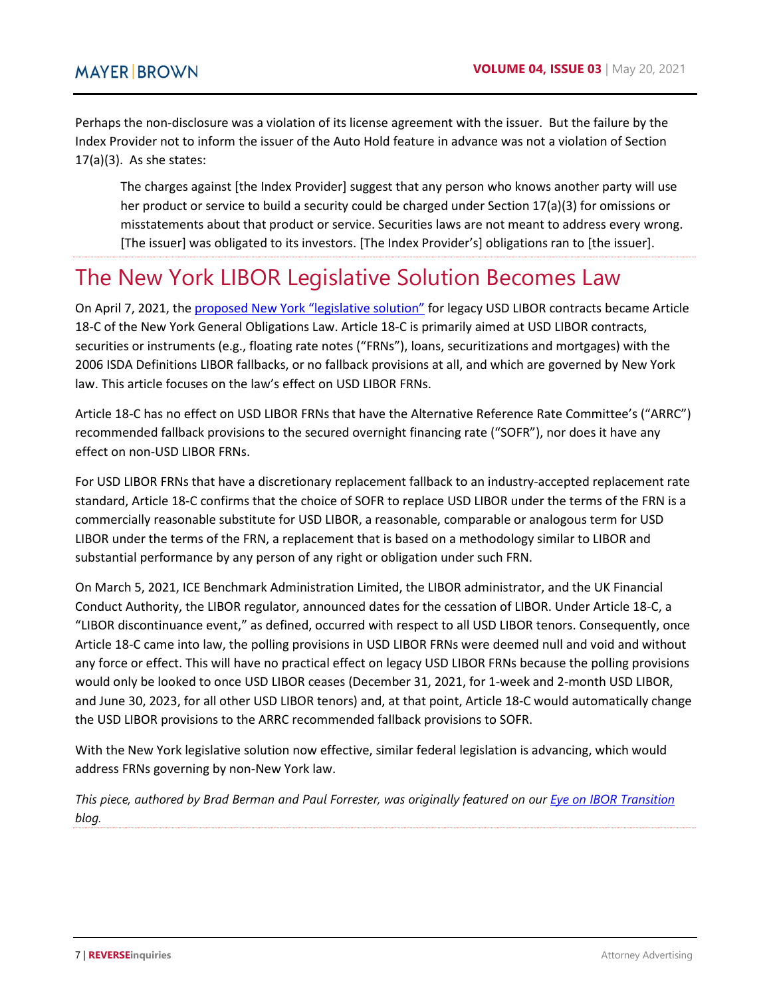Perhaps the non-disclosure was a violation of its license agreement with the issuer. But the failure by the Index Provider not to inform the issuer of the Auto Hold feature in advance was not a violation of Section  $17(a)(3)$ . As she states:

The charges against [the Index Provider] suggest that any person who knows another party will use her product or service to build a security could be charged under Section 17(a)(3) for omissions or misstatements about that product or service. Securities laws are not meant to address every wrong. [The issuer] was obligated to its investors. [The Index Provider's] obligations ran to [the issuer].

# <span id="page-6-0"></span>The New York LIBOR Legislative Solution Becomes Law

On April 7, 2021, th[e proposed New York "legislative solution" f](https://www.nysenate.gov/legislation/bills/2021/S297)or legacy USD LIBOR contracts became Article 18-C of the New York General Obligations Law. Article 18-C is primarily aimed at USD LIBOR contracts, securities or instruments (e.g., floating rate notes ("FRNs"), loans, securitizations and mortgages) with the 2006 ISDA Definitions LIBOR fallbacks, or no fallback provisions at all, and which are governed by New York law. This article focuses on the law's effect on USD LIBOR FRNs.

Article 18-C has no effect on USD LIBOR FRNs that have the Alternative Reference Rate Committee's ("ARRC") recommended fallback provisions to the secured overnight financing rate ("SOFR"), nor does it have any effect on non-USD LIBOR FRNs.

For USD LIBOR FRNs that have a discretionary replacement fallback to an industry-accepted replacement rate standard, Article 18-C confirms that the choice of SOFR to replace USD LIBOR under the terms of the FRN is a commercially reasonable substitute for USD LIBOR, a reasonable, comparable or analogous term for USD LIBOR under the terms of the FRN, a replacement that is based on a methodology similar to LIBOR and substantial performance by any person of any right or obligation under such FRN.

On March 5, 2021, ICE Benchmark Administration Limited, the LIBOR administrator, and the UK Financial Conduct Authority, the LIBOR regulator, announced dates for the cessation of LIBOR. Under Article 18-C, a "LIBOR discontinuance event," as defined, occurred with respect to all USD LIBOR tenors. Consequently, once Article 18-C came into law, the polling provisions in USD LIBOR FRNs were deemed null and void and without any force or effect. This will have no practical effect on legacy USD LIBOR FRNs because the polling provisions would only be looked to once USD LIBOR ceases (December 31, 2021, for 1-week and 2-month USD LIBOR, and June 30, 2023, for all other USD LIBOR tenors) and, at that point, Article 18-C would automatically change the USD LIBOR provisions to the ARRC recommended fallback provisions to SOFR.

With the New York legislative solution now effective, similar federal legislation is advancing, which would address FRNs governing by non-New York law.

*This piece, authored by Brad Berman and Paul Forrester, was originally featured on our [Eye on IBOR Transition](https://www.eyeonibor.com/2021/05/legislative-solutions-to-tough-legacy-contracts-are-passed-into-uk-law/) blog.*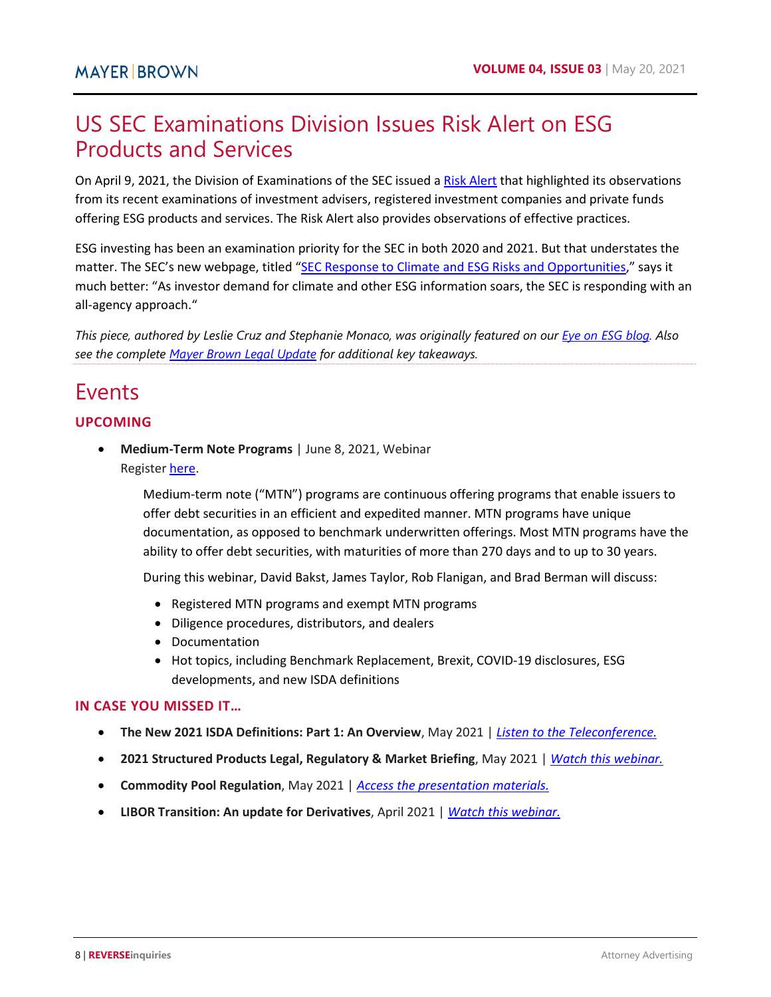# <span id="page-7-0"></span>US SEC Examinations Division Issues Risk Alert on ESG Products and Services

On April 9, 2021, the Division of Examinations of the SEC issued [a Risk Alert](https://www.sec.gov/files/esg-risk-alert.pdf) that highlighted its observations from its recent examinations of investment advisers, registered investment companies and private funds offering ESG products and services. The Risk Alert also provides observations of effective practices.

ESG investing has been an examination priority for the SEC in both 2020 and 2021. But that understates the matter. The SEC's new webpage, titled ["SEC Response to Climate and ESG Risks and Opportunities,](https://www.sec.gov/sec-response-climate-and-esg-risks-and-opportunities)" says it much better: "As investor demand for climate and other ESG information soars, the SEC is responding with an all-agency approach."

*This piece, authored by Leslie Cruz and Stephanie Monaco, was originally featured on our [Eye on ESG blog.](https://www.eyeonesg.com/2021/04/us-sec-examinations-division-issues-risk-alert-on-esg-products-and-services/) Also see the complete [Mayer Brown Legal Update](https://www.mayerbrown.com/-/media/files/perspectives-events/publications/2021/04/sec-examinations-division-issues-risk-alert-on-esg-products-and-services.pdf) for additional key takeaways.* 

## Events

#### **UPCOMING**

 **Medium-Term Note Programs** | June 8, 2021, Webinar Registe[r here.](https://connect.mayerbrown.com/388/8716/landing-pages/blank-rsvp-business.asp)

> Medium-term note ("MTN") programs are continuous offering programs that enable issuers to offer debt securities in an efficient and expedited manner. MTN programs have unique documentation, as opposed to benchmark underwritten offerings. Most MTN programs have the ability to offer debt securities, with maturities of more than 270 days and to up to 30 years.

During this webinar, David Bakst, James Taylor, Rob Flanigan, and Brad Berman will discuss:

- Registered MTN programs and exempt MTN programs
- Diligence procedures, distributors, and dealers
- Documentation
- Hot topics, including Benchmark Replacement, Brexit, COVID-19 disclosures, ESG developments, and new ISDA definitions

#### **IN CASE YOU MISSED IT…**

- **The New 2021 ISDA Definitions: Part 1: An Overview**, May 2021 | *[Listen to the Teleconference.](https://www.mayerbrown.com/en/perspectives-events/events/2021/05/the-new-2021-isda-definitions-part-1-an-overview)*
- **2021 Structured Products Legal, Regulatory & Market Briefing**, May 2021 | *[Watch this webinar.](https://www.mayerbrown.com/en/perspectives-events/events/2021/05/2021-structured-products-legal-regulatory-market-briefing)*
- **Commodity Pool Regulation**, May 2021 | *[Access the presentation materials.](https://www.mayerbrown.com/-/media/files/perspectives-events/events/2021/05/pli-mb--commodity-pool--may-2021.pdf)*
- **LIBOR Transition: An update for Derivatives**, April 2021 | *[Watch this webinar.](https://www.mayerbrown.com/en/perspectives-events/events/2021/04/libor-transition-an-update-for-derivatives)*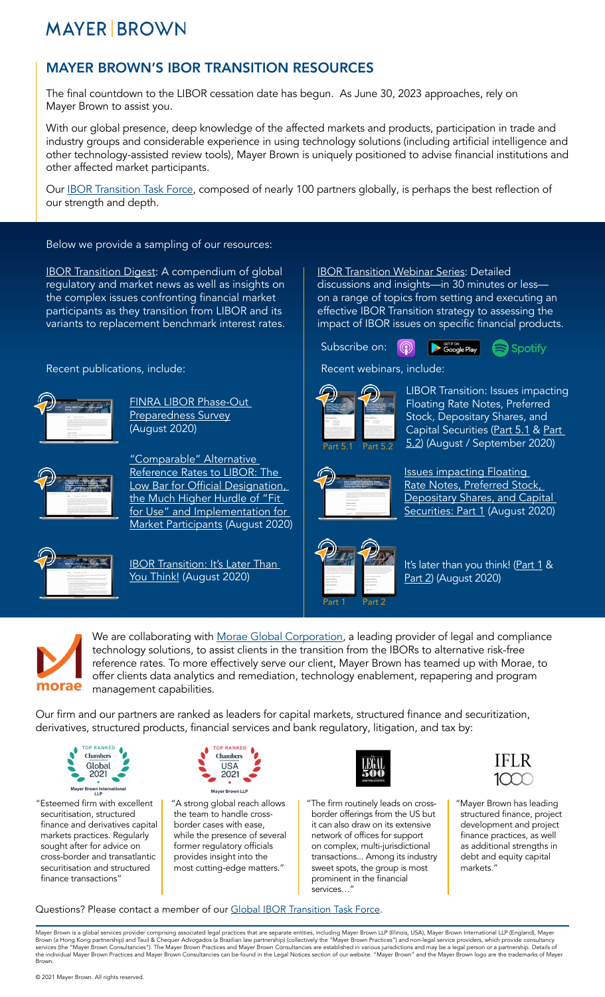# **MAYER BROWN**

## MAYER BROWN'S IBOR TRANSITION RESOURCES

The final countdown to the LIBOR cessation date has begun. As June 30, 2023 approaches, rely on Mayer Brown to assist you.

With our global presence, deep knowledge of the affected markets and products, participation in trade and industry groups and considerable experience in using technology solutions (including artificial intelligence and other technology-assisted review tools), Mayer Brown is uniquely positioned to advise financial institutions and other affected market participants.

Our **IBOR Transition Task Force**, composed of nearly 100 partners globally, is perhaps the best reflection of our strength and depth.

## Below we provide a sampling of our resources:

**[IBOR Transition Digest](https://www.mayerbrown.com/en/perspectives-events/publications/2020/08/ibor-transition-digest): A compendium of global** regulatory and market news as well as insights on the complex issues confronting financial market participants as they transition from LIBOR and its variants to replacement benchmark interest rates.

Recent publications, include: Recent webinars, include:



[FINRA LIBOR Phase-Out](https://www.mayerbrown.com/en/perspectives-events/publications/2020/08/finra-libor-phase-out-preparedness-survey)  [Preparedness Survey](https://www.mayerbrown.com/en/perspectives-events/publications/2020/08/finra-libor-phase-out-preparedness-survey) (August 2020)



["Comparable" Alternative](https://www.mayerbrown.com/en/perspectives-events/publications/2020/08/comparable-alternative-reference-rates-to-libor-the-low-bar-for-official-designation-the-much-higher-hurdle-of-fit-for-use-and-implementation-for-market-participants)  Reference Rates to LIBOR: The Low Bar for Official Designation, [the Much Higher Hurdle of "Fit](https://www.mayerbrown.com/en/perspectives-events/publications/2020/08/comparable-alternative-reference-rates-to-libor-the-low-bar-for-official-designation-the-much-higher-hurdle-of-fit-for-use-and-implementation-for-market-participants)  [for Use" and Implementation for](https://www.mayerbrown.com/en/perspectives-events/publications/2020/08/comparable-alternative-reference-rates-to-libor-the-low-bar-for-official-designation-the-much-higher-hurdle-of-fit-for-use-and-implementation-for-market-participants)  [Market Participants](https://www.mayerbrown.com/en/perspectives-events/publications/2020/08/comparable-alternative-reference-rates-to-libor-the-low-bar-for-official-designation-the-much-higher-hurdle-of-fit-for-use-and-implementation-for-market-participants) (August 2020)



**IBOR Transition: It's Later Than** [You Think!](https://www.mayerbrown.com/en/perspectives-events/publications/2020/08/ibor-transition-its-later-than-you-think) (August 2020)

[IBOR Transition Webinar Series](https://www.mayerbrown.com/en/perspectives-events/podcasts/libor-transition): Detailed discussions and insights—in 30 minutes or less on a range of topics from setting and executing an effective IBOR Transition strategy to assessing the impact of IBOR issues on specific financial products.

Subscribe on: (?)





LIBOR Transition: Issues impacting Floating Rate Notes, Preferred Stock, Depositary Shares, and Capital Securities [\(Part 5.1](https://www.mayerbrown.com/en/perspectives-events/events/2020/08/libor-transition-part-5-1-issues-impacting-floating-rate-notes-preferred-stock-depositary-shares-and-capital-securities) & [Part](https://www.mayerbrown.com/en/perspectives-events/events/2020/08/libor-transition-part--5-2-issues-impacting-floating-rate-notes-preferred-stock-depositary-shares-and-capital-securities)  [5.2\)](https://www.mayerbrown.com/en/perspectives-events/events/2020/08/libor-transition-part--5-2-issues-impacting-floating-rate-notes-preferred-stock-depositary-shares-and-capital-securities) (August / September 2020)



[Issues impacting Floating](https://www.mayerbrown.com/en/perspectives-events/podcasts/2020/08/issues-impacting-floating-rate-notes-preferred-stock-depositary-shares-and-capital-securities-part-1)  [Rate Notes, Preferred Stock,](https://www.mayerbrown.com/en/perspectives-events/podcasts/2020/08/issues-impacting-floating-rate-notes-preferred-stock-depositary-shares-and-capital-securities-part-1)  [Depositary Shares, and Capital](https://www.mayerbrown.com/en/perspectives-events/podcasts/2020/08/issues-impacting-floating-rate-notes-preferred-stock-depositary-shares-and-capital-securities-part-1)  [Securities: Part 1](https://www.mayerbrown.com/en/perspectives-events/podcasts/2020/08/issues-impacting-floating-rate-notes-preferred-stock-depositary-shares-and-capital-securities-part-1) (August 2020)



It's later than you think! [\(Part 1](https://www.mayerbrown.com/en/perspectives-events/podcasts/2020/08/its-later-than-you-think-part-1) & [Part 2](https://www.mayerbrown.com/en/perspectives-events/podcasts/2020/08/its-later-than-you-think-part-2)) (August 2020)



We are collaborating with [Morae Global Corporation,](https://www.moraeglobal.com/libor/) a leading provider of legal and compliance technology solutions, to assist clients in the transition from the IBORs to alternative risk-free reference rates. To more effectively serve our client, Mayer Brown has teamed up with Morae, to offer clients data analytics and remediation, technology enablement, repapering and program management capabilities.

Our firm and our partners are ranked as leaders for capital markets, structured finance and securitization, derivatives, structured products, financial services and bank regulatory, litigation, and tax by:



"Esteemed firm with excellent securitisation, structured finance and derivatives capital markets practices. Regularly sought after for advice on cross-border and transatlantic securitisation and structured finance transactions'



"A strong global reach allows the team to handle crossborder cases with ease, while the presence of several former regulatory officials provides insight into the most cutting-edge matters."



"The firm routinely leads on crossborder offerings from the US but it can also draw on its extensive network of offices for support on complex, multi-jurisdictional transactions... Among its industry sweet spots, the group is most prominent in the financial services…"



"Mayer Brown has leading structured finance, project development and project finance practices, as well as additional strengths in debt and equity capital markets."

Questions? Please contact a member of our [Global IBOR Transition Task Force](https://www.mayerbrown.com/-/media/files/uploads/ibor-chart/ibor-transition-lawyers.pdf).

Mayer Brown is a global services provider comprising associated legal practices that are separate entities, including Mayer Brown LLP (Illinois, USA), Mayer Brown International LLP (England), Mayer<br>Brown (a Hong Kong partn Brown.